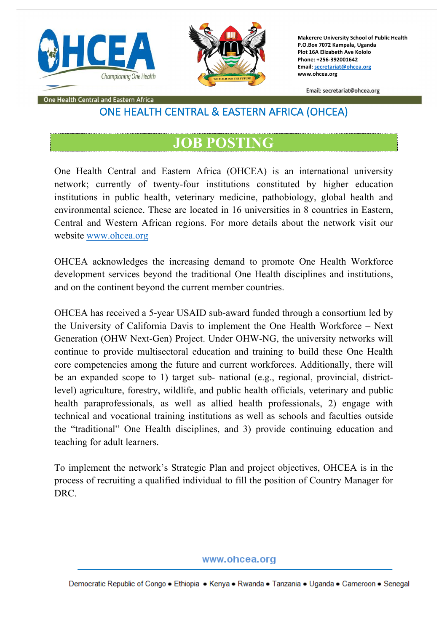



**Makerere University School of Public Health P.O.Box 7072 Kampala, Uganda Plot 16A Elizabeth Ave Kololo Phone: +256-392001642 Email: secretariat@ohcea.org www.ohcea.org**

Email: secretariat@ohcea.org

#### One Health Central and Eastern Africa

# ONE HEALTH CENTRAL & EASTERN AFRICA (OHCEA)

# **JOB POSTING**

One Health Central and Eastern Africa (OHCEA) is an international university network; currently of twenty-four institutions constituted by higher education institutions in public health, veterinary medicine, pathobiology, global health and environmental science. These are located in 16 universities in 8 countries in Eastern, Central and Western African regions. For more details about the network visit our website www.ohcea.org

OHCEA acknowledges the increasing demand to promote One Health Workforce development services beyond the traditional One Health disciplines and institutions, and on the continent beyond the current member countries.

OHCEA has received a 5-year USAID sub-award funded through a consortium led by the University of California Davis to implement the One Health Workforce – Next Generation (OHW Next-Gen) Project. Under OHW-NG, the university networks will continue to provide multisectoral education and training to build these One Health core competencies among the future and current workforces. Additionally, there will be an expanded scope to 1) target sub- national (e.g., regional, provincial, districtlevel) agriculture, forestry, wildlife, and public health officials, veterinary and public health paraprofessionals, as well as allied health professionals, 2) engage with technical and vocational training institutions as well as schools and faculties outside the "traditional" One Health disciplines, and 3) provide continuing education and teaching for adult learners.

To implement the network's Strategic Plan and project objectives, OHCEA is in the process of recruiting a qualified individual to fill the position of Country Manager for DRC.

www.ohcea.org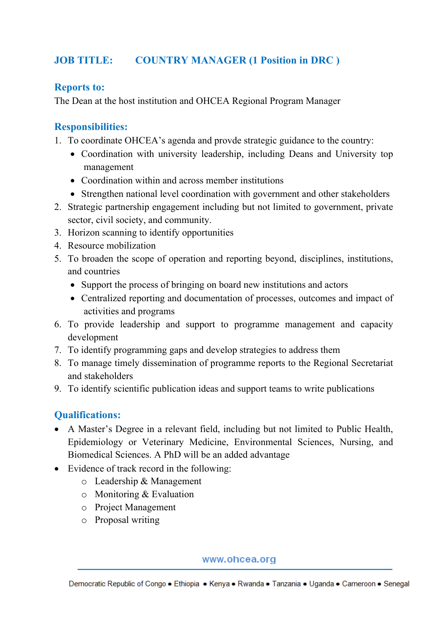# **JOB TITLE: COUNTRY MANAGER (1 Position in DRC )**

### **Reports to:**

The Dean at the host institution and OHCEA Regional Program Manager

# **Responsibilities:**

- 1. To coordinate OHCEA's agenda and provde strategic guidance to the country:
	- Coordination with university leadership, including Deans and University top management
	- Coordination within and across member institutions
	- Strengthen national level coordination with government and other stakeholders
- 2. Strategic partnership engagement including but not limited to government, private sector, civil society, and community.
- 3. Horizon scanning to identify opportunities
- 4. Resource mobilization
- 5. To broaden the scope of operation and reporting beyond, disciplines, institutions, and countries
	- Support the process of bringing on board new institutions and actors
	- Centralized reporting and documentation of processes, outcomes and impact of activities and programs
- 6. To provide leadership and support to programme management and capacity development
- 7. To identify programming gaps and develop strategies to address them
- 8. To manage timely dissemination of programme reports to the Regional Secretariat and stakeholders
- 9. To identify scientific publication ideas and support teams to write publications

## **Qualifications:**

- A Master's Degree in a relevant field, including but not limited to Public Health, Epidemiology or Veterinary Medicine, Environmental Sciences, Nursing, and Biomedical Sciences. A PhD will be an added advantage
- Evidence of track record in the following:
	- o Leadership & Management
	- o Monitoring & Evaluation
	- o Project Management
	- o Proposal writing

www.ohcea.org